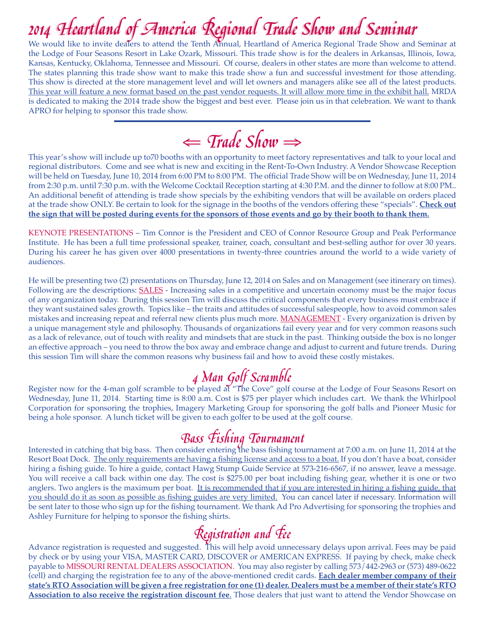We would like to invite dealers to attend the Tenth Annual, Heartland of America Regional Trade Show and Seminar at the Lodge of Four Seasons Resort in Lake Ozark, Missouri. This trade show is for the dealers in Arkansas, Illinois, Iowa, Kansas, Kentucky, Oklahoma, Tennessee and Missouri. Of course, dealers in other states are more than welcome to attend. The states planning this trade show want to make this trade show a fun and successful investment for those attending. This show is directed at the store management level and will let owners and managers alike see all of the latest products. This year will feature a new format based on the past vendor requests. It will allow more time in the exhibit hall. MRDA is dedicated to making the 2014 trade show the biggest and best ever. Please join us in that celebration. We want to thank APRO for helping to sponsor this trade show.

⇐ Trade Show<sup>⇒</sup>

This year's show will include up to70 booths with an opportunity to meet factory representatives and talk to your local and regional distributors. Come and see what is new and exciting in the Rent-To-Own Industry. A Vendor Showcase Reception will be held on Tuesday, June 10, 2014 from 6:00 PM to 8:00 PM. The official Trade Show will be on Wednesday, June 11, 2014 from 2:30 p.m. until 7:30 p.m. with the Welcome Cocktail Reception starting at 4:30 P.M. and the dinner to follow at 8:00 PM.. An additional benefit of attending is trade show specials by the exhibiting vendors that will be available on orders placed at the trade show ONLY. Be certain to look for the signage in the booths of the vendors offering these "specials". **Check out the sign that will be posted during events for the sponsors of those events and go by their booth to thank them.**

KEYNOTE PRESENTATIONS – Tim Connor is the President and CEO of Connor Resource Group and Peak Performance Institute. He has been a full time professional speaker, trainer, coach, consultant and best-selling author for over 30 years. During his career he has given over 4000 presentations in twenty-three countries around the world to a wide variety of audiences.

He will be presenting two (2) presentations on Thursday, June 12, 2014 on Sales and on Management (see itinerary on times). Following are the descriptions:  $SALES$  - Increasing sales in a competitive and uncertain economy must be the major focus of any organization today. During this session Tim will discuss the critical components that every business must embrace if they want sustained sales growth. Topics like – the traits and attitudes of successful salespeople, how to avoid common sales mistakes and increasing repeat and referral new clients plus much more. MANAGEMENT - Every organization is driven by a unique management style and philosophy. Thousands of organizations fail every year and for very common reasons such as a lack of relevance, out of touch with reality and mindsets that are stuck in the past. Thinking outside the box is no longer an effective approach – you need to throw the box away and embrace change and adjust to current and future trends. During this session Tim will share the common reasons why business fail and how to avoid these costly mistakes.

4 Man Golf Scramble<br>Register now for the 4-man golf scramble to be played at "The Cove" golf course at the Lodge of Four Seasons Resort on Wednesday, June 11, 2014. Starting time is 8:00 a.m. Cost is \$75 per player which includes cart. We thank the Whirlpool Corporation for sponsoring the trophies, Imagery Marketing Group for sponsoring the golf balls and Pioneer Music for being a hole sponsor. A lunch ticket will be given to each golfer to be used at the golf course.

**Bass Fishing Tournament**<br>Interested in catching that big bass. Then consider entering the bass fishing tournament at 7:00 a.m. on June 11, 2014 at the Resort Boat Dock. The only requirements are having a fishing license and access to a boat. If you don't have a boat, consider hiring a fishing guide. To hire a guide, contact Hawg Stump Guide Service at 573-216-6567, if no answer, leave a message. You will receive a call back within one day. The cost is \$275.00 per boat including fishing gear, whether it is one or two anglers. Two anglers is the maximum per boat. It is recommended that if you are interested in hiring a fishing guide, that you should do it as soon as possible as fishing guides are very limited. You can cancel later if necessary. Information will be sent later to those who sign up for the fishing tournament. We thank Ad Pro Advertising for sponsoring the trophies and Ashley Furniture for helping to sponsor the fishing shirts.

 $\mathcal{R}$ egistration and  $\mathcal{F}$ ee<br>Advance registration is requested and suggested. This will help avoid unnecessary delays upon arrival. Fees may be paid by check or by using your VISA, MASTER CARD, DISCOVER or AMERICAN EXPRESS. If paying by check, make check payable to MISSOURI RENTAL DEALERS ASSOCIATION. You may also register by calling 573/442-2963 or (573) 489-0622 (cell) and charging the registration fee to any of the above-mentioned credit cards. **Each dealer member company of their state's RTO Association will be given a free registration for one (1) dealer. Dealers must be a member of their state's RTO Association to also receive the registration discount fee**. Those dealers that just want to attend the Vendor Showcase on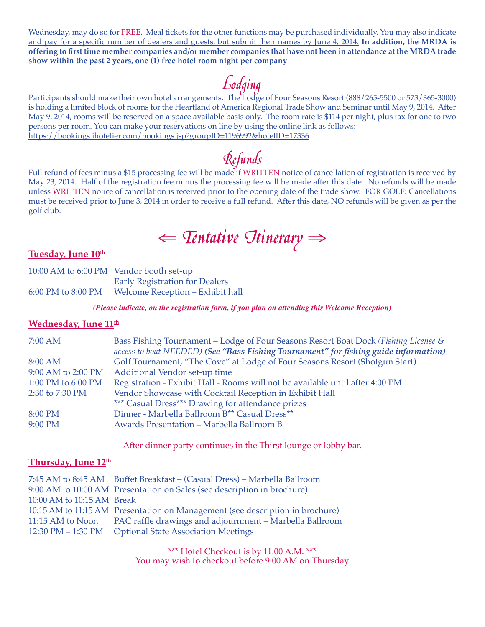Wednesday, may do so for FREE. Meal tickets for the other functions may be purchased individually. You may also indicate and pay for a specific number of dealers and guests, but submit their names by June 4, 2014. **In addition, the MRDA is offering to first time member companies and/or member companies that have not been in attendance at the MRDA trade show within the past 2 years, one (1) free hotel room night per company**.

Lodging<br>Participants should make their own hotel arrangements. The Lodge of Four Seasons Resort (888/265-5500 or 573/365-3000) is holding a limited block of rooms for the Heartland of America Regional Trade Show and Seminar until May 9, 2014. After May 9, 2014, rooms will be reserved on a space available basis only. The room rate is \$114 per night, plus tax for one to two persons per room. You can make your reservations on line by using the online link as follows: https://bookings.ihotelier.com/bookings.jsp?groupID=1196992&hotelID=17336

 $\mathcal{R}$ efunds<br>Full refund of fees minus a \$15 processing fee will be made if WRITTEN notice of cancellation of registration is received by May 23, 2014. Half of the registration fee minus the processing fee will be made after this date. No refunds will be made unless WRITTEN notice of cancellation is received prior to the opening date of the trade show. FOR GOLF: Cancellations must be received prior to June 3, 2014 in order to receive a full refund. After this date, NO refunds will be given as per the golf club.

# ⇐ Tentative Itinerary<sup>⇒</sup>

## Tuesday, June 10<sup>th</sup>

| 10:00 AM to 6:00 PM Vendor booth set-up |                                       |
|-----------------------------------------|---------------------------------------|
|                                         | <b>Early Registration for Dealers</b> |
| 6:00 PM to 8:00 PM                      | Welcome Reception - Exhibit hall      |

*(Please indicate, on the registration form, if you plan on attending this Welcome Reception)*

## **Wednesday, June 11<sup>th</sup>**

| 7:00 AM            | Bass Fishing Tournament – Lodge of Four Seasons Resort Boat Dock (Fishing License &<br>access to boat NEEDED) (See "Bass Fishing Tournament" for fishing guide information) |
|--------------------|-----------------------------------------------------------------------------------------------------------------------------------------------------------------------------|
| 8:00 AM            | Golf Tournament, "The Cove" at Lodge of Four Seasons Resort (Shotgun Start)                                                                                                 |
| 9:00 AM to 2:00 PM | Additional Vendor set-up time                                                                                                                                               |
| 1:00 PM to 6:00 PM | Registration - Exhibit Hall - Rooms will not be available until after 4:00 PM                                                                                               |
| 2:30 to 7:30 PM    | Vendor Showcase with Cocktail Reception in Exhibit Hall                                                                                                                     |
|                    | *** Casual Dress*** Drawing for attendance prizes                                                                                                                           |
| 8:00 PM            | Dinner - Marbella Ballroom B <sup>**</sup> Casual Dress <sup>**</sup>                                                                                                       |
| 9:00 PM            | Awards Presentation - Marbella Ballroom B                                                                                                                                   |

After dinner party continues in the Thirst lounge or lobby bar.

## **Thursday, June 12<sup>th</sup>**

|                            | 7:45 AM to 8:45 AM Buffet Breakfast – (Casual Dress) – Marbella Ballroom      |
|----------------------------|-------------------------------------------------------------------------------|
|                            | 9:00 AM to 10:00 AM Presentation on Sales (see description in brochure)       |
| 10:00 AM to 10:15 AM Break |                                                                               |
|                            | 10:15 AM to 11:15 AM Presentation on Management (see description in brochure) |
|                            | 11:15 AM to Noon PAC raffle drawings and adjournment - Marbella Ballroom      |
|                            | 12:30 PM - 1:30 PM Optional State Association Meetings                        |

\*\*\* Hotel Checkout is by 11:00 A.M. \*\*\* You may wish to checkout before 9:00 AM on Thursday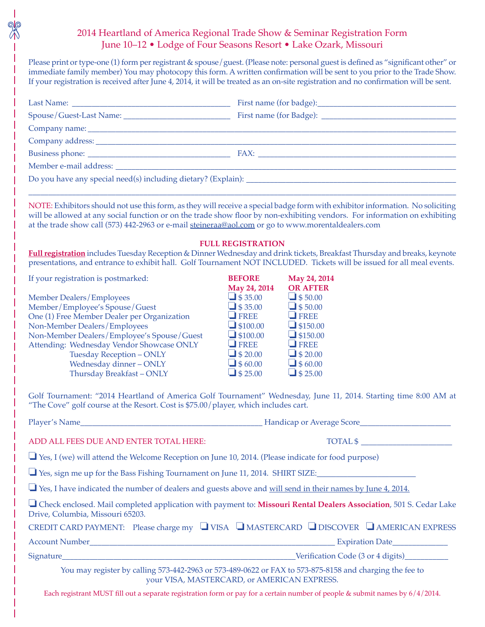## 2014 Heartland of America Regional Trade Show & Seminar Registration Form June 10–12 • Lodge of Four Seasons Resort • Lake Ozark, Missouri

Please print or type-one (1) form per registrant & spouse/guest. (Please note: personal guest is defined as "significant other" or immediate family member) You may photocopy this form. A written confirmation will be sent to you prior to the Trade Show. If your registration is received after June 4, 2014, it will be treated as an on-site registration and no confirmation will be sent.

| NOTE: Exhibitors should not use this form, as they will receive a special badge form with exhibitor information. No soliciting<br>will be allowed at any social function or on the trade show floor by non-exhibiting vendors. For information on exhibiting<br>at the trade show call (573) 442-2963 or e-mail steineraa@aol.com or go to www.morentaldealers.com<br>Full registration includes Tuesday Reception & Dinner Wednesday and drink tickets, Breakfast Thursday and breaks, keynote | <b>FULL REGISTRATION</b>                                                                                                                                                                      |                                                                                                                                                                                                 |  |  |  |
|-------------------------------------------------------------------------------------------------------------------------------------------------------------------------------------------------------------------------------------------------------------------------------------------------------------------------------------------------------------------------------------------------------------------------------------------------------------------------------------------------|-----------------------------------------------------------------------------------------------------------------------------------------------------------------------------------------------|-------------------------------------------------------------------------------------------------------------------------------------------------------------------------------------------------|--|--|--|
| presentations, and entrance to exhibit hall. Golf Tournament NOT INCLUDED. Tickets will be issued for all meal events.                                                                                                                                                                                                                                                                                                                                                                          |                                                                                                                                                                                               |                                                                                                                                                                                                 |  |  |  |
| If your registration is postmarked:<br><b>Member Dealers/Employees</b><br>Member/Employee's Spouse/Guest<br>One (1) Free Member Dealer per Organization<br>Non-Member Dealers/Employees<br>Non-Member Dealers/Employee's Spouse/Guest<br>Attending: Wednesday Vendor Showcase ONLY<br>Tuesday Reception - ONLY<br>Wednesday dinner - ONLY<br>Thursday Breakfast - ONLY<br>Golf Tournament: "2014 Heartland of America Golf Tournament" Wednesday, June 11, 2014. Starting time 8:00 AM at       | <b>BEFORE</b><br>May 24, 2014<br>$\Box$ \$35.00<br>$\Box$ \$35.00<br>$\Box$ FREE<br>$\Box$ \$100.00<br>$\Box$ \$100.00<br>$\Box$ FREE<br>$\Box$ \$ 20.00<br>$\Box$ \$60.00<br>$\Box$ \$ 25.00 | May 24, 2014<br><b>OR AFTER</b><br>$\Box$ \$50.00<br>$\Box$ \$50.00<br>$\Box$ FREE<br>$\Box$ \$150.00<br>$\Box$ \$150.00<br>$\Box$ FREE<br>$\Box$ \$ 20.00<br>$\Box$ \$60.00<br>$\Box$ \$ 25.00 |  |  |  |
| "The Cove" golf course at the Resort. Cost is \$75.00/player, which includes cart.                                                                                                                                                                                                                                                                                                                                                                                                              |                                                                                                                                                                                               |                                                                                                                                                                                                 |  |  |  |
|                                                                                                                                                                                                                                                                                                                                                                                                                                                                                                 |                                                                                                                                                                                               |                                                                                                                                                                                                 |  |  |  |
| ADD ALL FEES DUE AND ENTER TOTAL HERE:                                                                                                                                                                                                                                                                                                                                                                                                                                                          |                                                                                                                                                                                               | TOTAL \$                                                                                                                                                                                        |  |  |  |
| $\Box$ Yes, I (we) will attend the Welcome Reception on June 10, 2014. (Please indicate for food purpose)                                                                                                                                                                                                                                                                                                                                                                                       |                                                                                                                                                                                               |                                                                                                                                                                                                 |  |  |  |
| Yes, sign me up for the Bass Fishing Tournament on June 11, 2014. SHIRT SIZE:                                                                                                                                                                                                                                                                                                                                                                                                                   |                                                                                                                                                                                               |                                                                                                                                                                                                 |  |  |  |
| $\Box$ Yes, I have indicated the number of dealers and guests above and <u>will send in their names by June 4, 2014.</u>                                                                                                                                                                                                                                                                                                                                                                        |                                                                                                                                                                                               |                                                                                                                                                                                                 |  |  |  |
| □ Check enclosed. Mail completed application with payment to: Missouri Rental Dealers Association, 501 S. Cedar Lake<br>Drive, Columbia, Missouri 65203.                                                                                                                                                                                                                                                                                                                                        |                                                                                                                                                                                               |                                                                                                                                                                                                 |  |  |  |
| CREDIT CARD PAYMENT: Please charge my U VISA UMASTERCARD U DISCOVER U AMERICAN EXPRESS                                                                                                                                                                                                                                                                                                                                                                                                          |                                                                                                                                                                                               |                                                                                                                                                                                                 |  |  |  |
|                                                                                                                                                                                                                                                                                                                                                                                                                                                                                                 |                                                                                                                                                                                               |                                                                                                                                                                                                 |  |  |  |
|                                                                                                                                                                                                                                                                                                                                                                                                                                                                                                 |                                                                                                                                                                                               |                                                                                                                                                                                                 |  |  |  |
| You may register by calling 573-442-2963 or 573-489-0622 or FAX to 573-875-8158 and charging the fee to<br>your VISA, MASTERCARD, or AMERICAN EXPRESS.                                                                                                                                                                                                                                                                                                                                          |                                                                                                                                                                                               |                                                                                                                                                                                                 |  |  |  |

Each registrant MUST fill out a separate registration form or pay for a certain number of people & submit names by 6/4/2014.